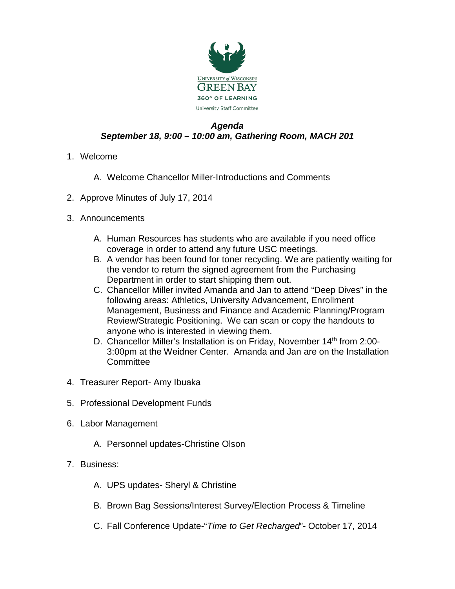

## *Agenda September 18, 9:00 – 10:00 am, Gathering Room, MACH 201*

- 1. Welcome
	- A. Welcome Chancellor Miller-Introductions and Comments
- 2. Approve Minutes of July 17, 2014
- 3. Announcements
	- A. Human Resources has students who are available if you need office coverage in order to attend any future USC meetings.
	- B. A vendor has been found for toner recycling. We are patiently waiting for the vendor to return the signed agreement from the Purchasing Department in order to start shipping them out.
	- C. Chancellor Miller invited Amanda and Jan to attend "Deep Dives" in the following areas: Athletics, University Advancement, Enrollment Management, Business and Finance and Academic Planning/Program Review/Strategic Positioning. We can scan or copy the handouts to anyone who is interested in viewing them.
	- D. Chancellor Miller's Installation is on Friday, November 14<sup>th</sup> from 2:00-3:00pm at the Weidner Center. Amanda and Jan are on the Installation Committee
- 4. Treasurer Report- Amy Ibuaka
- 5. Professional Development Funds
- 6. Labor Management
	- A. Personnel updates-Christine Olson
- 7. Business:
	- A. UPS updates- Sheryl & Christine
	- B. Brown Bag Sessions/Interest Survey/Election Process & Timeline
	- C. Fall Conference Update-"*Time to Get Recharged*"- October 17, 2014